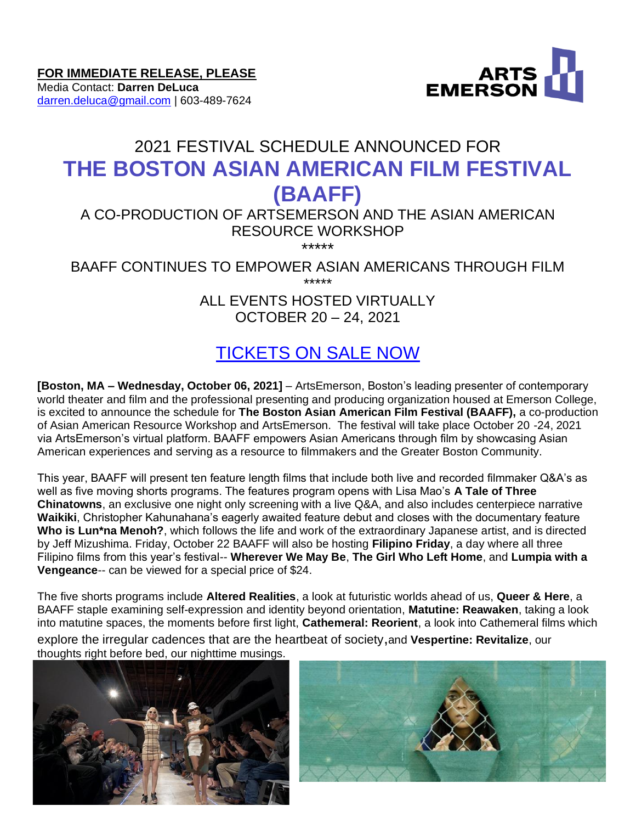

Media Contact: **Darren DeLuca** [darren.deluca@gmail.com](mailto:darren.deluca@gmail.com) | 603-489-7624



# 2021 FESTIVAL SCHEDULE ANNOUNCED FOR **THE BOSTON ASIAN AMERICAN FILM FESTIVAL (BAAFF)**

#### A CO-PRODUCTION OF ARTSEMERSON AND THE ASIAN AMERICAN RESOURCE WORKSHOP \*\*\*\*\*

BAAFF CONTINUES TO EMPOWER ASIAN AMERICANS THROUGH FILM \*\*\*\*\*

> ALL EVENTS HOSTED VIRTUALLY OCTOBER 20 – 24, 2021

## [TICKETS ON SALE NOW](https://artsemerson.org/?p=11671&post_type=shows-events&preview=1&_ppp=d17bd57867)

**[Boston, MA – Wednesday, October 06, 2021]** – ArtsEmerson, Boston's leading presenter of contemporary world theater and film and the professional presenting and producing organization housed at Emerson College, is excited to announce the schedule for **The Boston Asian American Film Festival (BAAFF),** a co-production of Asian American Resource Workshop and ArtsEmerson. The festival will take place October 20 -24, 2021 via ArtsEmerson's virtual platform. BAAFF empowers Asian Americans through film by showcasing Asian American experiences and serving as a resource to filmmakers and the Greater Boston Community.

This year, BAAFF will present ten feature length films that include both live and recorded filmmaker Q&A's as well as five moving shorts programs. The features program opens with Lisa Mao's **A Tale of Three Chinatowns**, an exclusive one night only screening with a live Q&A, and also includes centerpiece narrative **Waikiki**, Christopher Kahunahana's eagerly awaited feature debut and closes with the documentary feature **Who is Lun\*na Menoh?**, which follows the life and work of the extraordinary Japanese artist, and is directed by Jeff Mizushima. Friday, October 22 BAAFF will also be hosting **Filipino Friday**, a day where all three Filipino films from this year's festival-- **Wherever We May Be**, **The Girl Who Left Home**, and **Lumpia with a Vengeance**-- can be viewed for a special price of \$24.

The five shorts programs include **Altered Realities**, a look at futuristic worlds ahead of us, **Queer & Here**, a BAAFF staple examining self-expression and identity beyond orientation, **Matutine: Reawaken**, taking a look into matutine spaces, the moments before first light, **Cathemeral: Reorient**, a look into Cathemeral films which explore the irregular cadences that are the heartbeat of society,and **Vespertine: Revitalize**, our thoughts right before bed, our nighttime musings.



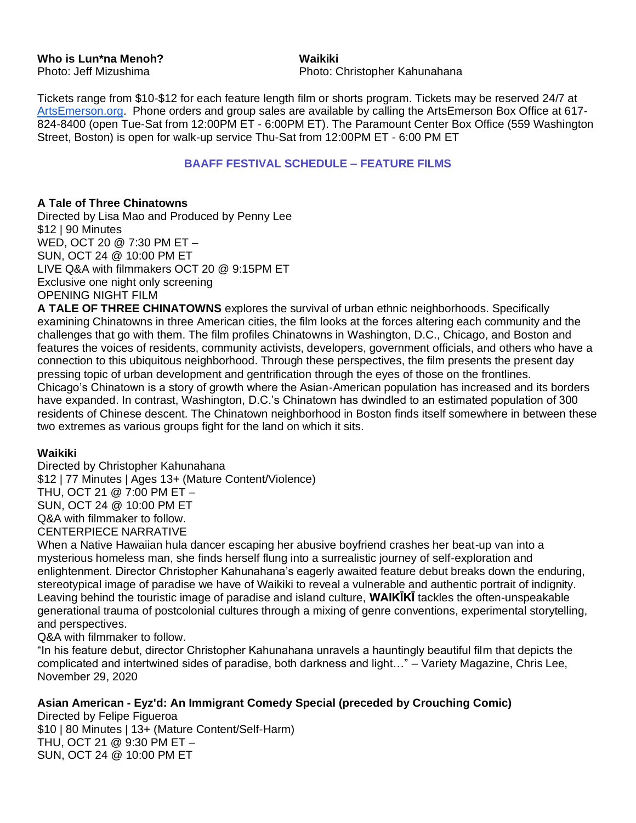**Who is Lun\*na Menoh? Waikiki**

Photo: Jeff Mizushima **Photo: Christopher Kahunahana** 

Tickets range from \$10-\$12 for each feature length film or shorts program. Tickets may be reserved 24/7 at [ArtsEmerson.org.](http://www.artsemerson.org/) Phone orders and group sales are available by calling the ArtsEmerson Box Office at 617- 824-8400 (open Tue-Sat from 12:00PM ET - 6:00PM ET). The Paramount Center Box Office (559 Washington Street, Boston) is open for walk-up service Thu-Sat from 12:00PM ET - 6:00 PM ET

#### **BAAFF FESTIVAL SCHEDULE – FEATURE FILMS**

#### **A Tale of Three Chinatowns**

Directed by Lisa Mao and Produced by Penny Lee \$12 | 90 Minutes WED, OCT 20 @ 7:30 PM ET – SUN, OCT 24 @ 10:00 PM ET LIVE Q&A with filmmakers OCT 20 @ 9:15PM ET Exclusive one night only screening OPENING NIGHT FILM

**A TALE OF THREE CHINATOWNS** explores the survival of urban ethnic neighborhoods. Specifically examining Chinatowns in three American cities, the film looks at the forces altering each community and the challenges that go with them. The film profiles Chinatowns in Washington, D.C., Chicago, and Boston and features the voices of residents, community activists, developers, government officials, and others who have a connection to this ubiquitous neighborhood. Through these perspectives, the film presents the present day pressing topic of urban development and gentrification through the eyes of those on the frontlines. Chicago's Chinatown is a story of growth where the Asian-American population has increased and its borders have expanded. In contrast, Washington, D.C.'s Chinatown has dwindled to an estimated population of 300 residents of Chinese descent. The Chinatown neighborhood in Boston finds itself somewhere in between these two extremes as various groups fight for the land on which it sits.

#### **Waikiki**

Directed by Christopher Kahunahana \$12 | 77 Minutes | Ages 13+ (Mature Content/Violence) THU, OCT 21 @ 7:00 PM ET – SUN, OCT 24 @ 10:00 PM ET Q&A with filmmaker to follow. CENTERPIECE NARRATIVE

When a Native Hawaiian hula dancer escaping her abusive boyfriend crashes her beat-up van into a mysterious homeless man, she finds herself flung into a surrealistic journey of self-exploration and enlightenment. Director Christopher Kahunahana's eagerly awaited feature debut breaks down the enduring, stereotypical image of paradise we have of Waikiki to reveal a vulnerable and authentic portrait of indignity. Leaving behind the touristic image of paradise and island culture, **WAIKĪKĪ** tackles the often-unspeakable generational trauma of postcolonial cultures through a mixing of genre conventions, experimental storytelling, and perspectives.

Q&A with filmmaker to follow.

"In his feature debut, director Christopher Kahunahana unravels a hauntingly beautiful film that depicts the complicated and intertwined sides of paradise, both darkness and light…" – Variety Magazine, Chris Lee, November 29, 2020

#### **Asian American - Eyz'd: An Immigrant Comedy Special (preceded by Crouching Comic)**

Directed by Felipe Figueroa \$10 | 80 Minutes | 13+ (Mature Content/Self-Harm) THU, OCT 21 @ 9:30 PM ET – SUN, OCT 24 @ 10:00 PM ET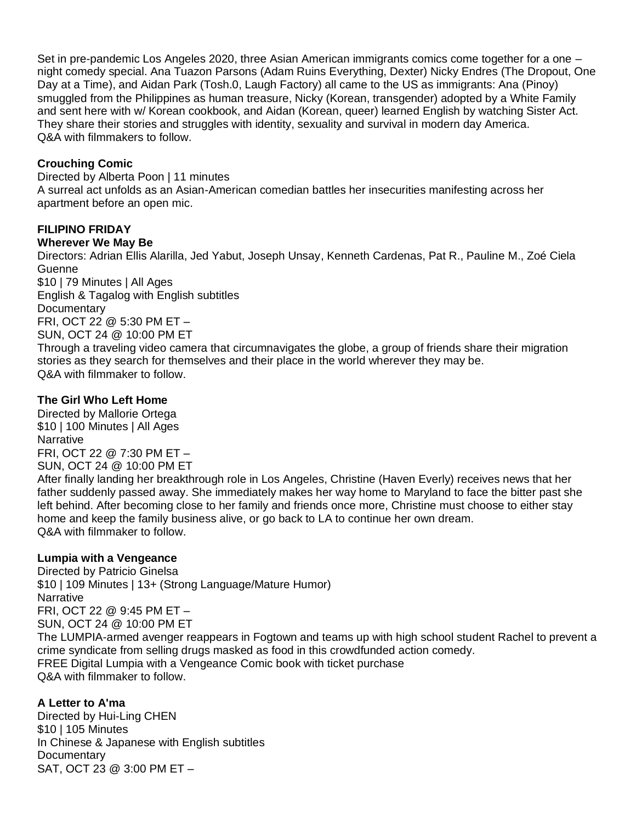Set in pre-pandemic Los Angeles 2020, three Asian American immigrants comics come together for a one – night comedy special. Ana Tuazon Parsons (Adam Ruins Everything, Dexter) Nicky Endres (The Dropout, One Day at a Time), and Aidan Park (Tosh.0, Laugh Factory) all came to the US as immigrants: Ana (Pinoy) smuggled from the Philippines as human treasure, Nicky (Korean, transgender) adopted by a White Family and sent here with w/ Korean cookbook, and Aidan (Korean, queer) learned English by watching Sister Act. They share their stories and struggles with identity, sexuality and survival in modern day America. Q&A with filmmakers to follow.

## **Crouching Comic**

Directed by Alberta Poon | 11 minutes A surreal act unfolds as an Asian-American comedian battles her insecurities manifesting across her apartment before an open mic.

## **FILIPINO FRIDAY**

#### **Wherever We May Be**

Directors: Adrian Ellis Alarilla, Jed Yabut, Joseph Unsay, Kenneth Cardenas, Pat R., Pauline M., Zoé Ciela **Guenne** \$10 | 79 Minutes | All Ages

English & Tagalog with English subtitles **Documentary** FRI, OCT 22 @ 5:30 PM ET – SUN, OCT 24 @ 10:00 PM ET Through a traveling video camera that circumnavigates the globe, a group of friends share their migration stories as they search for themselves and their place in the world wherever they may be. Q&A with filmmaker to follow.

## **The Girl Who Left Home**

Directed by Mallorie Ortega \$10 | 100 Minutes | All Ages Narrative FRI, OCT 22 @ 7:30 PM ET – SUN, OCT 24 @ 10:00 PM ET After finally landing her breakthrough role in Los Angeles, Christine (Haven Everly) receives news that her

father suddenly passed away. She immediately makes her way home to Maryland to face the bitter past she left behind. After becoming close to her family and friends once more, Christine must choose to either stay home and keep the family business alive, or go back to LA to continue her own dream. Q&A with filmmaker to follow.

#### **Lumpia with a Vengeance**

Directed by Patricio Ginelsa \$10 | 109 Minutes | 13+ (Strong Language/Mature Humor) **Narrative** FRI, OCT 22 @ 9:45 PM ET – SUN, OCT 24 @ 10:00 PM ET The LUMPIA-armed avenger reappears in Fogtown and teams up with high school student Rachel to prevent a crime syndicate from selling drugs masked as food in this crowdfunded action comedy. FREE Digital Lumpia with a Vengeance Comic book with ticket purchase Q&A with filmmaker to follow.

## **A Letter to A'ma**

Directed by Hui-Ling CHEN \$10 | 105 Minutes In Chinese & Japanese with English subtitles **Documentary** SAT, OCT 23 @ 3:00 PM ET –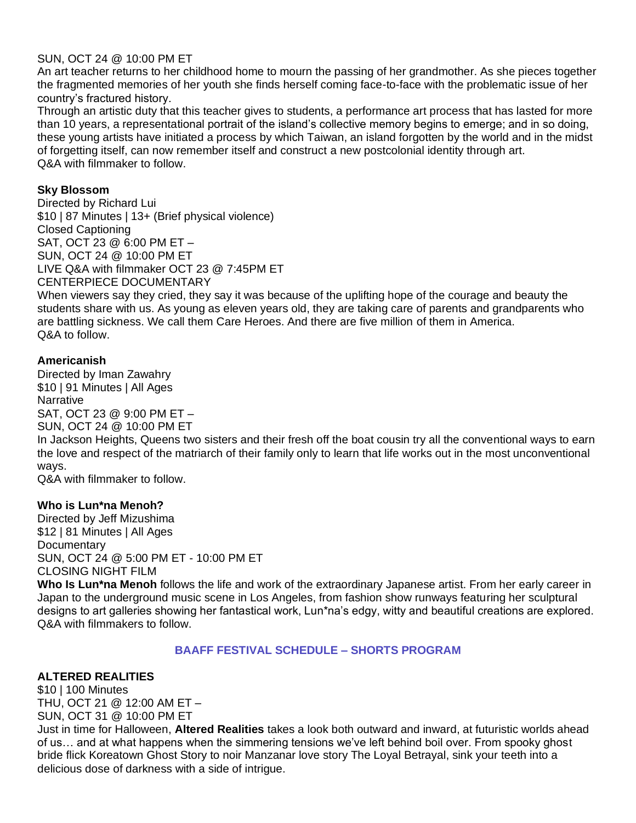#### SUN, OCT 24 @ 10:00 PM ET

An art teacher returns to her childhood home to mourn the passing of her grandmother. As she pieces together the fragmented memories of her youth she finds herself coming face-to-face with the problematic issue of her country's fractured history.

Through an artistic duty that this teacher gives to students, a performance art process that has lasted for more than 10 years, a representational portrait of the island's collective memory begins to emerge; and in so doing, these young artists have initiated a process by which Taiwan, an island forgotten by the world and in the midst of forgetting itself, can now remember itself and construct a new postcolonial identity through art. Q&A with filmmaker to follow.

#### **Sky Blossom**

Directed by Richard Lui \$10 | 87 Minutes | 13+ (Brief physical violence) Closed Captioning SAT, OCT 23 @ 6:00 PM ET – SUN, OCT 24 @ 10:00 PM ET LIVE Q&A with filmmaker OCT 23 @ 7:45PM ET CENTERPIECE DOCUMENTARY

When viewers say they cried, they say it was because of the uplifting hope of the courage and beauty the students share with us. As young as eleven years old, they are taking care of parents and grandparents who are battling sickness. We call them Care Heroes. And there are five million of them in America. Q&A to follow.

#### **Americanish**

Directed by Iman Zawahry \$10 | 91 Minutes | All Ages **Narrative** SAT, OCT 23 @ 9:00 PM ET – SUN, OCT 24 @ 10:00 PM ET

In Jackson Heights, Queens two sisters and their fresh off the boat cousin try all the conventional ways to earn the love and respect of the matriarch of their family only to learn that life works out in the most unconventional ways.

Q&A with filmmaker to follow.

#### **Who is Lun\*na Menoh?**

Directed by Jeff Mizushima \$12 | 81 Minutes | All Ages **Documentary** SUN, OCT 24 @ 5:00 PM ET - 10:00 PM ET CLOSING NIGHT FILM

**Who Is Lun\*na Menoh** follows the life and work of the extraordinary Japanese artist. From her early career in Japan to the underground music scene in Los Angeles, from fashion show runways featuring her sculptural designs to art galleries showing her fantastical work, Lun\*na's edgy, witty and beautiful creations are explored. Q&A with filmmakers to follow.

#### **BAAFF FESTIVAL SCHEDULE – SHORTS PROGRAM**

#### **ALTERED REALITIES**

\$10 | 100 Minutes THU, OCT 21 @ 12:00 AM ET – SUN, OCT 31 @ 10:00 PM ET

Just in time for Halloween, **Altered Realities** takes a look both outward and inward, at futuristic worlds ahead of us… and at what happens when the simmering tensions we've left behind boil over. From spooky ghost bride flick Koreatown Ghost Story to noir Manzanar love story The Loyal Betrayal, sink your teeth into a delicious dose of darkness with a side of intrigue.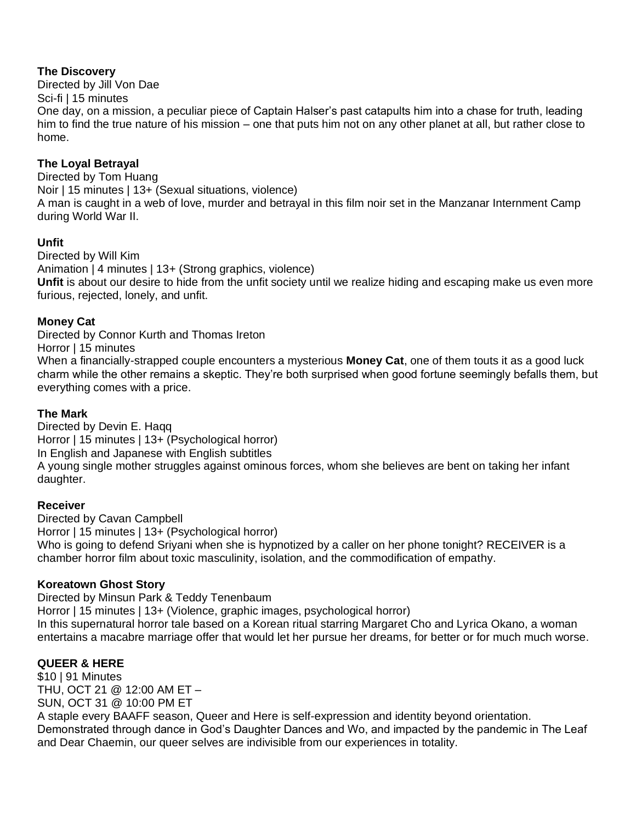## **The Discovery**

Directed by Jill Von Dae

Sci-fi | 15 minutes

One day, on a mission, a peculiar piece of Captain Halser's past catapults him into a chase for truth, leading him to find the true nature of his mission – one that puts him not on any other planet at all, but rather close to home.

## **The Loyal Betrayal**

Directed by Tom Huang Noir | 15 minutes | 13+ (Sexual situations, violence) A man is caught in a web of love, murder and betrayal in this film noir set in the Manzanar Internment Camp during World War II.

#### **Unfit**

Directed by Will Kim Animation | 4 minutes | 13+ (Strong graphics, violence) **Unfit** is about our desire to hide from the unfit society until we realize hiding and escaping make us even more furious, rejected, lonely, and unfit.

## **Money Cat**

Directed by Connor Kurth and Thomas Ireton

Horror | 15 minutes

When a financially-strapped couple encounters a mysterious **Money Cat**, one of them touts it as a good luck charm while the other remains a skeptic. They're both surprised when good fortune seemingly befalls them, but everything comes with a price.

#### **The Mark**

Directed by Devin E. Haqq Horror | 15 minutes | 13+ (Psychological horror) In English and Japanese with English subtitles A young single mother struggles against ominous forces, whom she believes are bent on taking her infant daughter.

#### **Receiver**

Directed by Cavan Campbell Horror | 15 minutes | 13+ (Psychological horror) Who is going to defend Sriyani when she is hypnotized by a caller on her phone tonight? RECEIVER is a chamber horror film about toxic masculinity, isolation, and the commodification of empathy.

#### **Koreatown Ghost Story**

Directed by Minsun Park & Teddy Tenenbaum Horror | 15 minutes | 13+ (Violence, graphic images, psychological horror) In this supernatural horror tale based on a Korean ritual starring Margaret Cho and Lyrica Okano, a woman entertains a macabre marriage offer that would let her pursue her dreams, for better or for much much worse.

## **QUEER & HERE**

\$10 | 91 Minutes THU, OCT 21 @ 12:00 AM ET – SUN, OCT 31 @ 10:00 PM ET A staple every BAAFF season, Queer and Here is self-expression and identity beyond orientation. Demonstrated through dance in God's Daughter Dances and Wo, and impacted by the pandemic in The Leaf and Dear Chaemin, our queer selves are indivisible from our experiences in totality.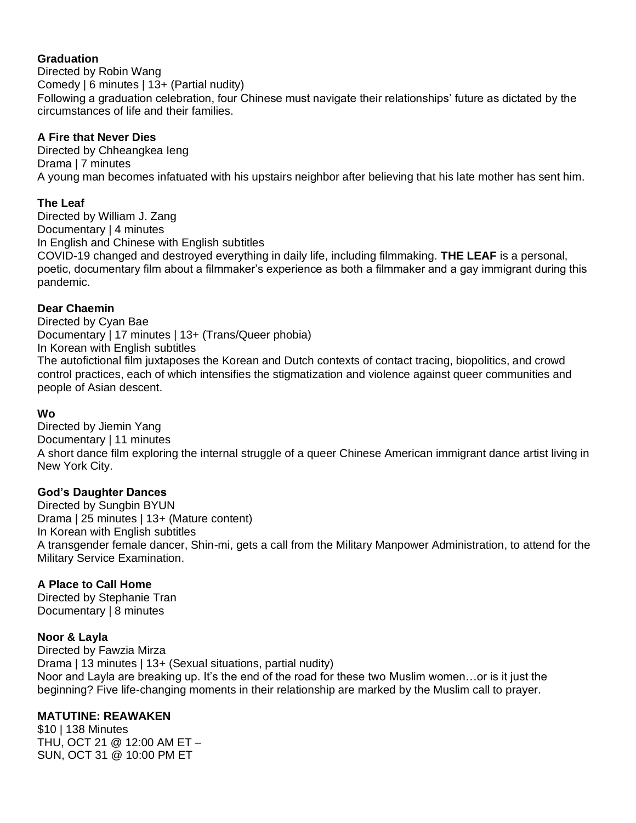#### **Graduation**

Directed by Robin Wang Comedy | 6 minutes | 13+ (Partial nudity) Following a graduation celebration, four Chinese must navigate their relationships' future as dictated by the circumstances of life and their families.

## **A Fire that Never Dies**

Directed by Chheangkea Ieng Drama | 7 minutes A young man becomes infatuated with his upstairs neighbor after believing that his late mother has sent him.

## **The Leaf**

Directed by William J. Zang Documentary | 4 minutes In English and Chinese with English subtitles COVID-19 changed and destroyed everything in daily life, including filmmaking. **THE LEAF** is a personal, poetic, documentary film about a filmmaker's experience as both a filmmaker and a gay immigrant during this pandemic.

## **Dear Chaemin**

Directed by Cyan Bae Documentary | 17 minutes | 13+ (Trans/Queer phobia) In Korean with English subtitles The autofictional film juxtaposes the Korean and Dutch contexts of contact tracing, biopolitics, and crowd control practices, each of which intensifies the stigmatization and violence against queer communities and people of Asian descent.

#### **Wo**

Directed by Jiemin Yang Documentary | 11 minutes A short dance film exploring the internal struggle of a queer Chinese American immigrant dance artist living in New York City.

#### **God's Daughter Dances**

Directed by Sungbin BYUN Drama | 25 minutes | 13+ (Mature content) In Korean with English subtitles A transgender female dancer, Shin-mi, gets a call from the Military Manpower Administration, to attend for the Military Service Examination.

#### **A Place to Call Home**

Directed by Stephanie Tran Documentary | 8 minutes

#### **Noor & Layla**

Directed by Fawzia Mirza Drama | 13 minutes | 13+ (Sexual situations, partial nudity) Noor and Layla are breaking up. It's the end of the road for these two Muslim women…or is it just the beginning? Five life-changing moments in their relationship are marked by the Muslim call to prayer.

## **MATUTINE: REAWAKEN**

\$10 | 138 Minutes THU, OCT 21 @ 12:00 AM ET – SUN, OCT 31 @ 10:00 PM ET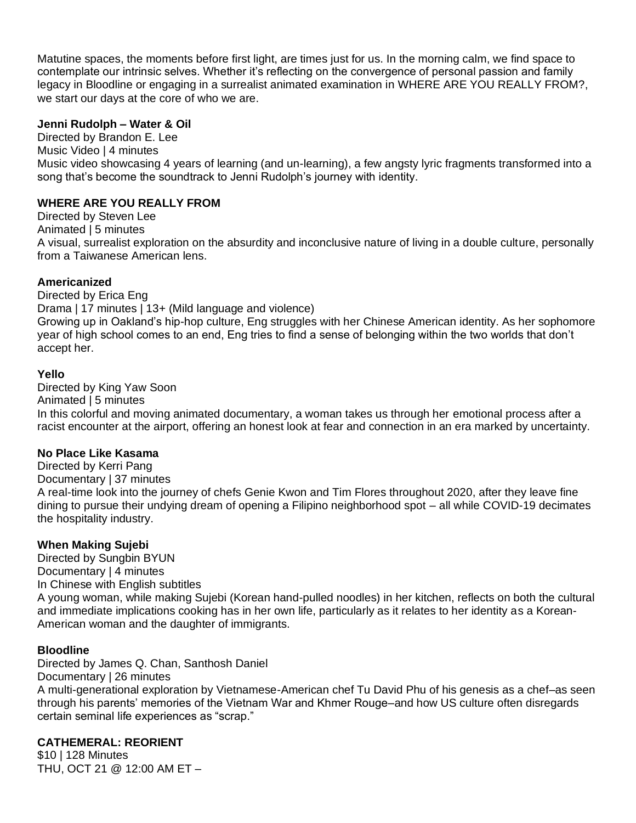Matutine spaces, the moments before first light, are times just for us. In the morning calm, we find space to contemplate our intrinsic selves. Whether it's reflecting on the convergence of personal passion and family legacy in Bloodline or engaging in a surrealist animated examination in WHERE ARE YOU REALLY FROM?, we start our days at the core of who we are.

#### **Jenni Rudolph – Water & Oil**

Directed by Brandon E. Lee

Music Video | 4 minutes

Music video showcasing 4 years of learning (and un-learning), a few angsty lyric fragments transformed into a song that's become the soundtrack to Jenni Rudolph's journey with identity.

#### **WHERE ARE YOU REALLY FROM**

Directed by Steven Lee

Animated | 5 minutes

A visual, surrealist exploration on the absurdity and inconclusive nature of living in a double culture, personally from a Taiwanese American lens.

#### **Americanized**

Directed by Erica Eng Drama | 17 minutes | 13+ (Mild language and violence) Growing up in Oakland's hip-hop culture, Eng struggles with her Chinese American identity. As her sophomore year of high school comes to an end, Eng tries to find a sense of belonging within the two worlds that don't accept her.

#### **Yello**

Directed by King Yaw Soon Animated | 5 minutes In this colorful and moving animated documentary, a woman takes us through her emotional process after a racist encounter at the airport, offering an honest look at fear and connection in an era marked by uncertainty.

#### **No Place Like Kasama**

Directed by Kerri Pang Documentary | 37 minutes A real-time look into the journey of chefs Genie Kwon and Tim Flores throughout 2020, after they leave fine dining to pursue their undying dream of opening a Filipino neighborhood spot – all while COVID-19 decimates the hospitality industry.

#### **When Making Sujebi**

Directed by Sungbin BYUN Documentary | 4 minutes In Chinese with English subtitles A young woman, while making Sujebi (Korean hand-pulled noodles) in her kitchen, reflects on both the cultural and immediate implications cooking has in her own life, particularly as it relates to her identity as a Korean-American woman and the daughter of immigrants.

#### **Bloodline**

Directed by James Q. Chan, Santhosh Daniel Documentary | 26 minutes A multi-generational exploration by Vietnamese-American chef Tu David Phu of his genesis as a chef–as seen through his parents' memories of the Vietnam War and Khmer Rouge–and how US culture often disregards certain seminal life experiences as "scrap."

#### **CATHEMERAL: REORIENT**

\$10 | 128 Minutes THU, OCT 21 @ 12:00 AM ET –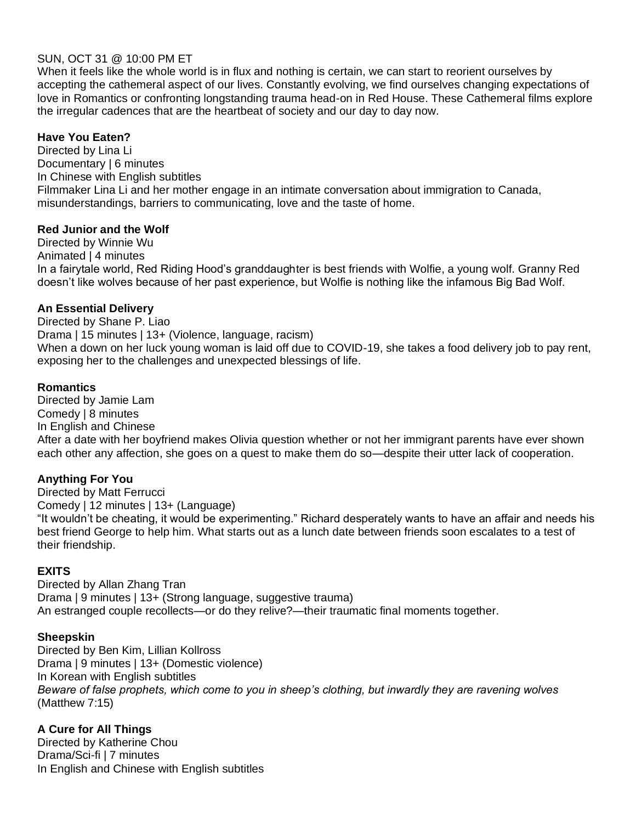#### SUN, OCT 31 @ 10:00 PM ET

When it feels like the whole world is in flux and nothing is certain, we can start to reorient ourselves by accepting the cathemeral aspect of our lives. Constantly evolving, we find ourselves changing expectations of love in Romantics or confronting longstanding trauma head-on in Red House. These Cathemeral films explore the irregular cadences that are the heartbeat of society and our day to day now.

## **Have You Eaten?**

Directed by Lina Li Documentary | 6 minutes In Chinese with English subtitles Filmmaker Lina Li and her mother engage in an intimate conversation about immigration to Canada, misunderstandings, barriers to communicating, love and the taste of home.

#### **Red Junior and the Wolf**

Directed by Winnie Wu Animated | 4 minutes In a fairytale world, Red Riding Hood's granddaughter is best friends with Wolfie, a young wolf. Granny Red doesn't like wolves because of her past experience, but Wolfie is nothing like the infamous Big Bad Wolf.

#### **An Essential Delivery**

Directed by Shane P. Liao Drama | 15 minutes | 13+ (Violence, language, racism) When a down on her luck young woman is laid off due to COVID-19, she takes a food delivery job to pay rent, exposing her to the challenges and unexpected blessings of life.

#### **Romantics**

Directed by Jamie Lam Comedy | 8 minutes In English and Chinese After a date with her boyfriend makes Olivia question whether or not her immigrant parents have ever shown each other any affection, she goes on a quest to make them do so—despite their utter lack of cooperation.

#### **Anything For You**

Directed by Matt Ferrucci Comedy | 12 minutes | 13+ (Language) "It wouldn't be cheating, it would be experimenting." Richard desperately wants to have an affair and needs his best friend George to help him. What starts out as a lunch date between friends soon escalates to a test of their friendship.

#### **EXITS**

Directed by Allan Zhang Tran Drama | 9 minutes | 13+ (Strong language, suggestive trauma) An estranged couple recollects—or do they relive?—their traumatic final moments together.

#### **Sheepskin**

Directed by Ben Kim, Lillian Kollross Drama | 9 minutes | 13+ (Domestic violence) In Korean with English subtitles *Beware of false prophets, which come to you in sheep's clothing, but inwardly they are ravening wolves*  (Matthew 7:15)

## **A Cure for All Things**

Directed by Katherine Chou Drama/Sci-fi | 7 minutes In English and Chinese with English subtitles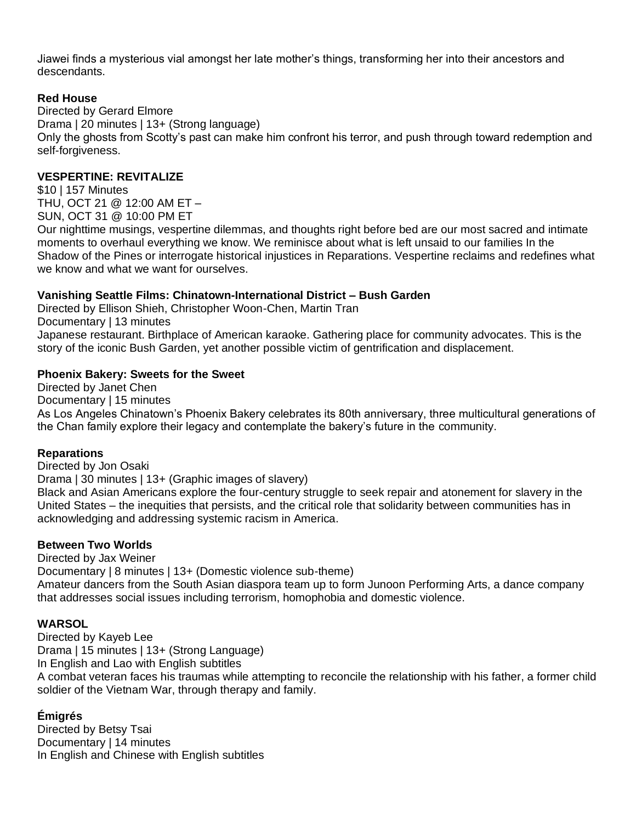Jiawei finds a mysterious vial amongst her late mother's things, transforming her into their ancestors and descendants.

## **Red House**

Directed by Gerard Elmore Drama | 20 minutes | 13+ (Strong language) Only the ghosts from Scotty's past can make him confront his terror, and push through toward redemption and self-forgiveness.

#### **VESPERTINE: REVITALIZE**

\$10 | 157 Minutes THU, OCT 21 @ 12:00 AM ET – SUN, OCT 31 @ 10:00 PM ET

Our nighttime musings, vespertine dilemmas, and thoughts right before bed are our most sacred and intimate moments to overhaul everything we know. We reminisce about what is left unsaid to our families In the Shadow of the Pines or interrogate historical injustices in Reparations. Vespertine reclaims and redefines what we know and what we want for ourselves.

## **Vanishing Seattle Films: Chinatown-International District – Bush Garden**

Directed by Ellison Shieh, Christopher Woon-Chen, Martin Tran Documentary | 13 minutes Japanese restaurant. Birthplace of American karaoke. Gathering place for community advocates. This is the story of the iconic Bush Garden, yet another possible victim of gentrification and displacement.

## **Phoenix Bakery: Sweets for the Sweet**

Directed by Janet Chen Documentary | 15 minutes As Los Angeles Chinatown's Phoenix Bakery celebrates its 80th anniversary, three multicultural generations of the Chan family explore their legacy and contemplate the bakery's future in the community.

#### **Reparations**

Directed by Jon Osaki

Drama | 30 minutes | 13+ (Graphic images of slavery)

Black and Asian Americans explore the four-century struggle to seek repair and atonement for slavery in the United States – the inequities that persists, and the critical role that solidarity between communities has in acknowledging and addressing systemic racism in America.

#### **Between Two Worlds**

Directed by Jax Weiner

Documentary | 8 minutes | 13+ (Domestic violence sub-theme)

Amateur dancers from the South Asian diaspora team up to form Junoon Performing Arts, a dance company that addresses social issues including terrorism, homophobia and domestic violence.

#### **WARSOL**

Directed by Kayeb Lee Drama | 15 minutes | 13+ (Strong Language) In English and Lao with English subtitles A combat veteran faces his traumas while attempting to reconcile the relationship with his father, a former child soldier of the Vietnam War, through therapy and family.

## **Émigrés**

Directed by Betsy Tsai Documentary | 14 minutes In English and Chinese with English subtitles